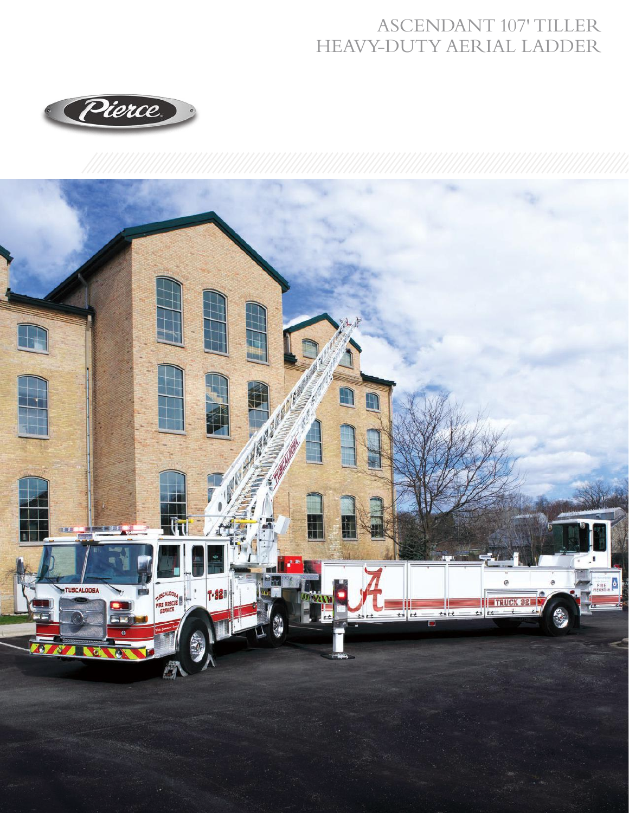## ASCENDANT 107' TILLER HEAVY-DUTY AERIAL LADDER